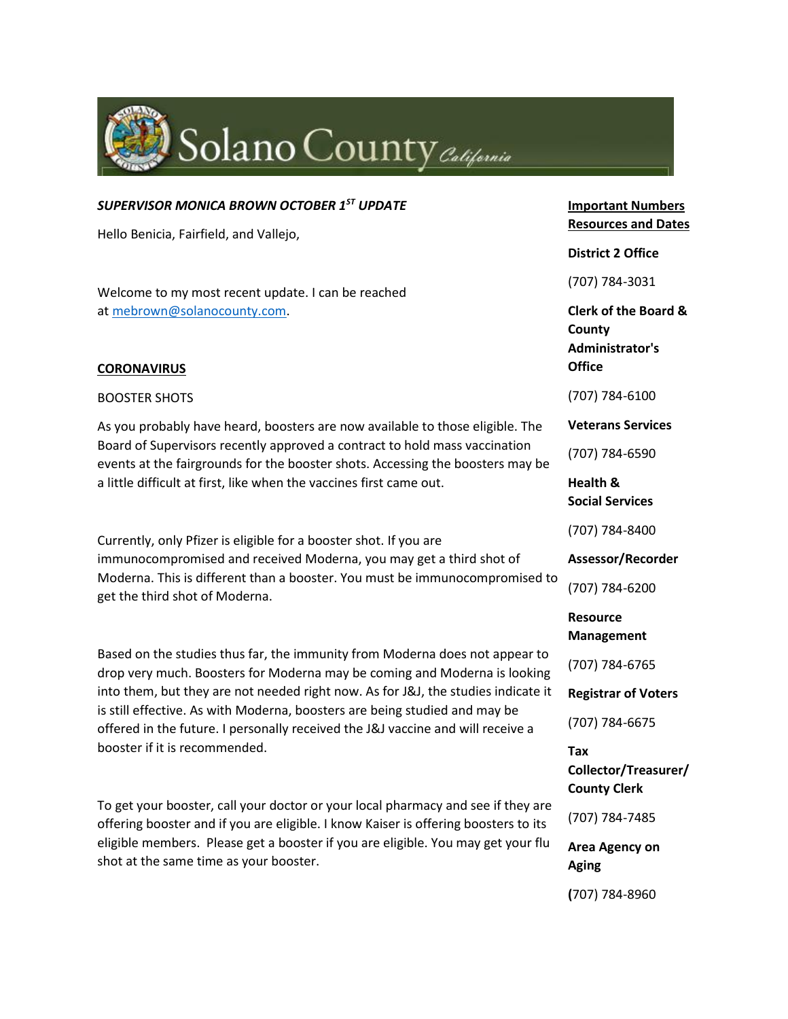

# *SUPERVISOR MONICA BROWN OCTOBER 1ST UPDATE*

Hello Benicia, Fairfield, and Vallejo,

Welcome to my most recent update. I can be reached at [mebrown@solanocounty.com.](mailto:mebrown@solanocounty.com)

#### **CORONAVIRUS**

#### BOOSTER SHOTS

As you probably have heard, boosters are now available to those eligible. The Board of Supervisors recently approved a contract to hold mass vaccination events at the fairgrounds for the booster shots. Accessing the boosters may be a little difficult at first, like when the vaccines first came out.

Currently, only Pfizer is eligible for a booster shot. If you are immunocompromised and received Moderna, you may get a third shot of Moderna. This is different than a booster. You must be immunocompromised to get the third shot of Moderna.

Based on the studies thus far, the immunity from Moderna does not appear to drop very much. Boosters for Moderna may be coming and Moderna is looking into them, but they are not needed right now. As for J&J, the studies indicate it is still effective. As with Moderna, boosters are being studied and may be offered in the future. I personally received the J&J vaccine and will receive a booster if it is recommended.

To get your booster, call your doctor or your local pharmacy and see if they are offering booster and if you are eligible. I know Kaiser is offering boosters to its eligible members. Please get a booster if you are eligible. You may get your flu shot at the same time as your booster.

**Important Numbers Resources and Dates**

#### **District 2 Office**

(707) 784-3031

**Clerk of the Board & County Administrator's Office**

(707) 784-6100

**Veterans Services**

(707) 784-6590

**Health & Social Services**

(707) 784-8400

**Assessor/Recorder**

(707) 784-6200

**Resource Management**

(707) 784-6765

**Registrar of Voters**

(707) 784-6675

**Tax Collector/Treasurer/ County Clerk**

(707) 784-7485

**Area Agency on Aging**

**(**707) 784-8960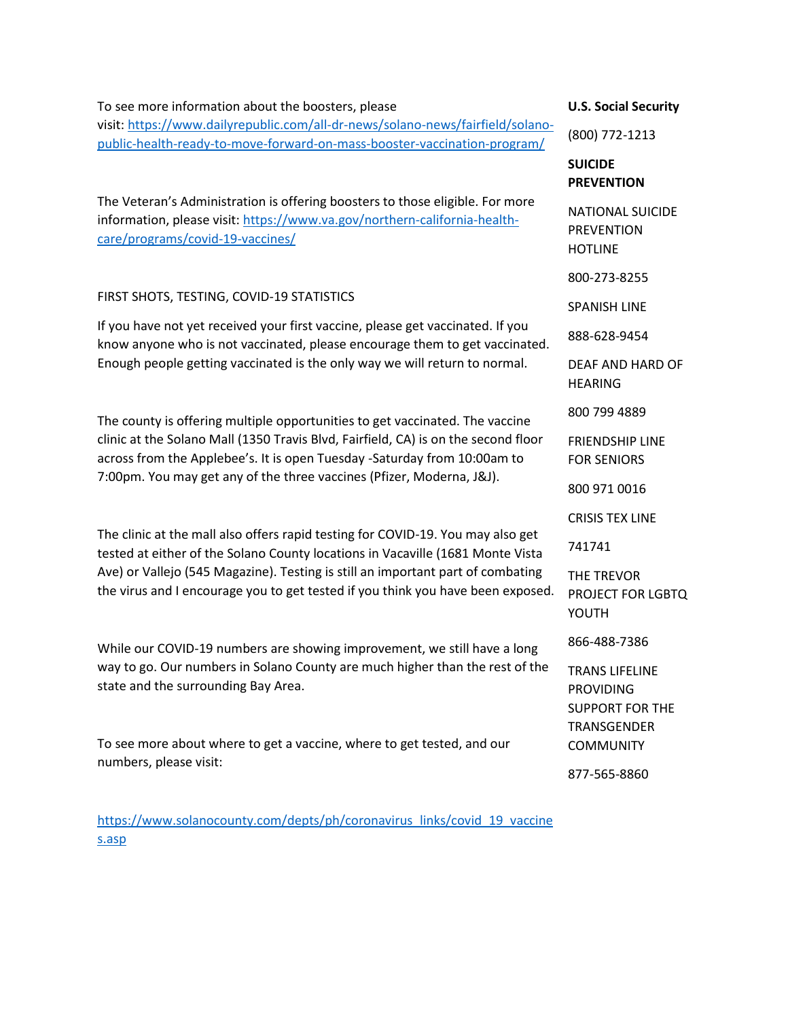### To see more information about the boosters, please

visit: [https://www.dailyrepublic.com/all-dr-news/solano-news/fairfield/solano](https://www.dailyrepublic.com/all-dr-news/solano-news/fairfield/solano-public-health-ready-to-move-forward-on-mass-booster-vaccination-program/)[public-health-ready-to-move-forward-on-mass-booster-vaccination-program/](https://www.dailyrepublic.com/all-dr-news/solano-news/fairfield/solano-public-health-ready-to-move-forward-on-mass-booster-vaccination-program/)

The Veteran's Administration is offering boosters to those eligible. For more information, please visit: [https://www.va.gov/northern-california-health](https://www.va.gov/northern-california-health-care/programs/covid-19-vaccines/)[care/programs/covid-19-vaccines/](https://www.va.gov/northern-california-health-care/programs/covid-19-vaccines/)

### FIRST SHOTS, TESTING, COVID-19 STATISTICS

If you have not yet received your first vaccine, please get vaccinated. If you know anyone who is not vaccinated, please encourage them to get vaccinated. Enough people getting vaccinated is the only way we will return to normal.

The county is offering multiple opportunities to get vaccinated. The vaccine clinic at the Solano Mall (1350 Travis Blvd, Fairfield, CA) is on the second floor across from the Applebee's. It is open Tuesday -Saturday from 10:00am to 7:00pm. You may get any of the three vaccines (Pfizer, Moderna, J&J).

The clinic at the mall also offers rapid testing for COVID-19. You may also get tested at either of the Solano County locations in Vacaville (1681 Monte Vista Ave) or Vallejo (545 Magazine). Testing is still an important part of combating the virus and I encourage you to get tested if you think you have been exposed.

While our COVID-19 numbers are showing improvement, we still have a long way to go. Our numbers in Solano County are much higher than the rest of the state and the surrounding Bay Area.

To see more about where to get a vaccine, where to get tested, and our numbers, please visit:

[https://www.solanocounty.com/depts/ph/coronavirus\\_links/covid\\_19\\_vaccine](https://www.solanocounty.com/depts/ph/coronavirus_links/covid_19_vaccines.asp) [s.asp](https://www.solanocounty.com/depts/ph/coronavirus_links/covid_19_vaccines.asp)

#### **U.S. Social Security**

(800) 772-1213

## **SUICIDE PREVENTION**

NATIONAL SUICIDE PREVENTION HOTLINE

800-273-8255

SPANISH LINE

888-628-9454

DEAF AND HARD OF HEARING

800 799 4889

FRIENDSHIP LINE FOR SENIORS

800 971 0016

CRISIS TEX LINE

741741

THE TREVOR PROJECT FOR LGBTQ YOUTH

866-488-7386

TRANS LIFELINE PROVIDING SUPPORT FOR THE TRANSGENDER **COMMUNITY** 

877-565-8860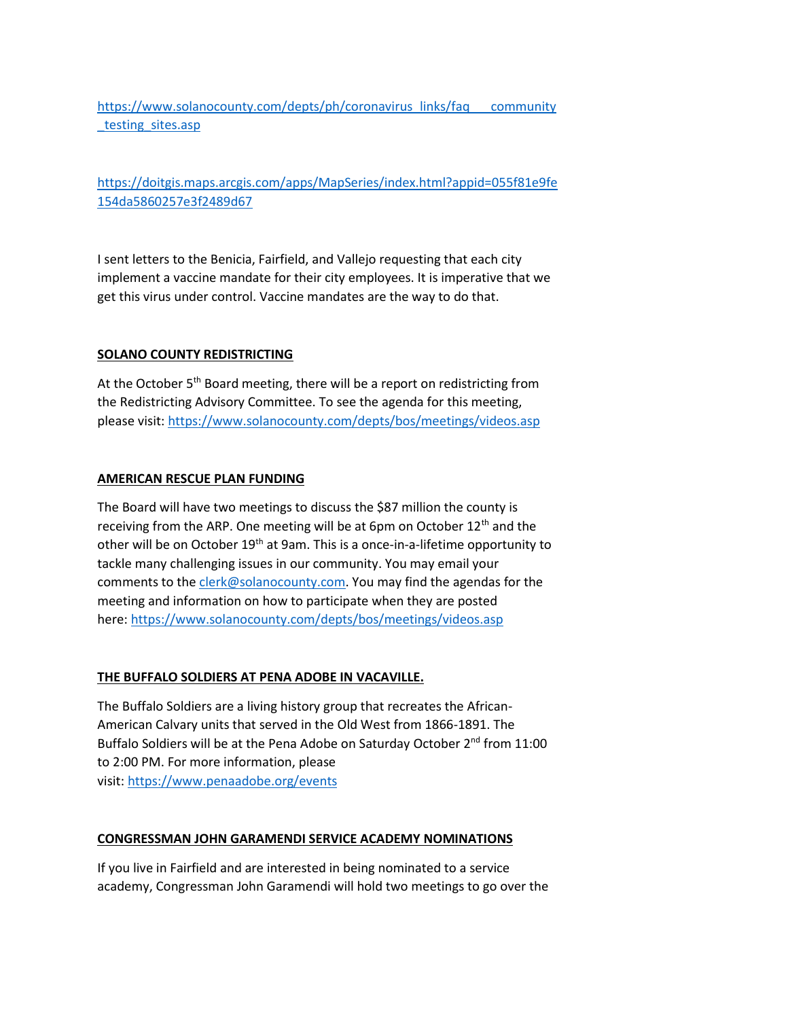[https://www.solanocounty.com/depts/ph/coronavirus\\_links/faq\\_\\_\\_community](https://www.solanocounty.com/depts/ph/coronavirus_links/faq___community_testing_sites.asp) [\\_testing\\_sites.asp](https://www.solanocounty.com/depts/ph/coronavirus_links/faq___community_testing_sites.asp)

[https://doitgis.maps.arcgis.com/apps/MapSeries/index.html?appid=055f81e9fe](https://doitgis.maps.arcgis.com/apps/MapSeries/index.html?appid=055f81e9fe154da5860257e3f2489d67) [154da5860257e3f2489d67](https://doitgis.maps.arcgis.com/apps/MapSeries/index.html?appid=055f81e9fe154da5860257e3f2489d67)

I sent letters to the Benicia, Fairfield, and Vallejo requesting that each city implement a vaccine mandate for their city employees. It is imperative that we get this virus under control. Vaccine mandates are the way to do that.

### **SOLANO COUNTY REDISTRICTING**

At the October 5<sup>th</sup> Board meeting, there will be a report on redistricting from the Redistricting Advisory Committee. To see the agenda for this meeting, please visit: <https://www.solanocounty.com/depts/bos/meetings/videos.asp>

#### **AMERICAN RESCUE PLAN FUNDING**

The Board will have two meetings to discuss the \$87 million the county is receiving from the ARP. One meeting will be at 6pm on October 12<sup>th</sup> and the other will be on October 19<sup>th</sup> at 9am. This is a once-in-a-lifetime opportunity to tackle many challenging issues in our community. You may email your comments to the [clerk@solanocounty.com.](mailto:clerk@solanocounty.com) You may find the agendas for the meeting and information on how to participate when they are posted here: <https://www.solanocounty.com/depts/bos/meetings/videos.asp>

### **THE BUFFALO SOLDIERS AT PENA ADOBE IN VACAVILLE.**

The Buffalo Soldiers are a living history group that recreates the African-American Calvary units that served in the Old West from 1866-1891. The Buffalo Soldiers will be at the Pena Adobe on Saturday October 2<sup>nd</sup> from 11:00 to 2:00 PM. For more information, please visit: <https://www.penaadobe.org/events>

### **CONGRESSMAN JOHN GARAMENDI SERVICE ACADEMY NOMINATIONS**

If you live in Fairfield and are interested in being nominated to a service academy, Congressman John Garamendi will hold two meetings to go over the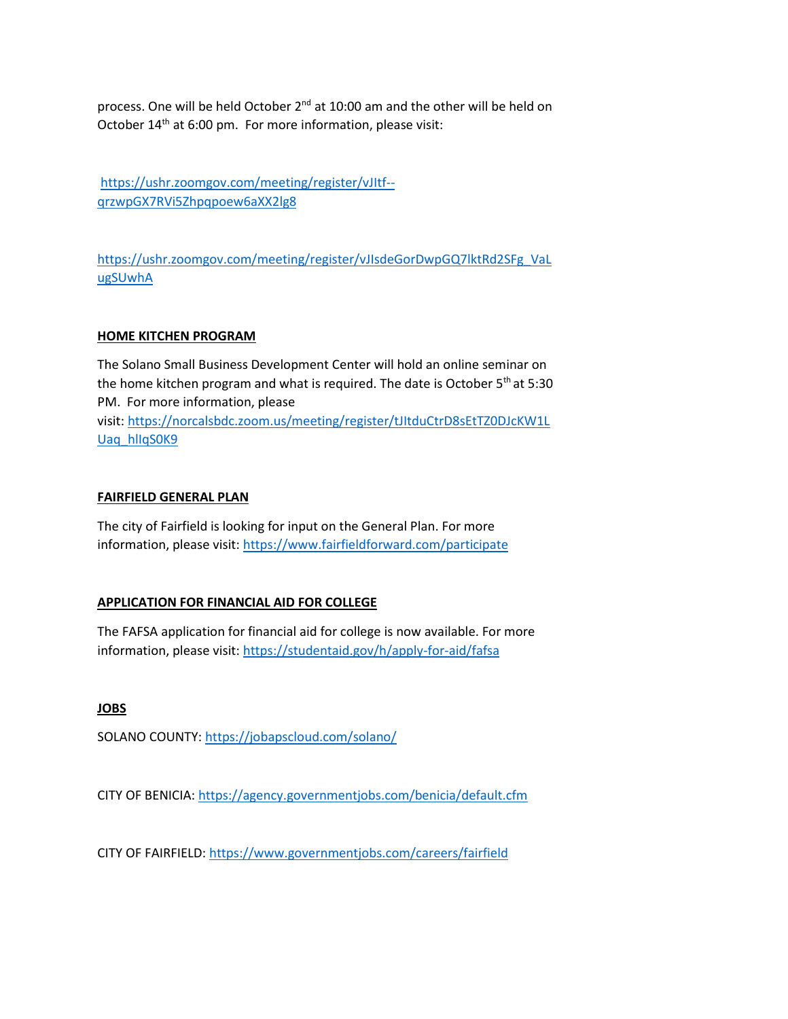process. One will be held October 2<sup>nd</sup> at 10:00 am and the other will be held on October 14<sup>th</sup> at 6:00 pm. For more information, please visit:

[https://ushr.zoomgov.com/meeting/register/vJItf-](https://ushr.zoomgov.com/meeting/register/vJItf--qrzwpGX7RVi5Zhpqpoew6aXX2lg8) [qrzwpGX7RVi5Zhpqpoew6aXX2lg8](https://ushr.zoomgov.com/meeting/register/vJItf--qrzwpGX7RVi5Zhpqpoew6aXX2lg8)

[https://ushr.zoomgov.com/meeting/register/vJIsdeGorDwpGQ7lktRd2SFg\\_VaL](https://ushr.zoomgov.com/meeting/register/vJIsdeGorDwpGQ7lktRd2SFg_VaLugSUwhA) [ugSUwhA](https://ushr.zoomgov.com/meeting/register/vJIsdeGorDwpGQ7lktRd2SFg_VaLugSUwhA)

## **HOME KITCHEN PROGRAM**

The Solano Small Business Development Center will hold an online seminar on the home kitchen program and what is required. The date is October 5<sup>th</sup> at 5:30 PM. For more information, please visit: [https://norcalsbdc.zoom.us/meeting/register/tJItduCtrD8sEtTZ0DJcKW1L](https://norcalsbdc.zoom.us/meeting/register/tJItduCtrD8sEtTZ0DJcKW1LUaq_hlIqS0K9) [Uaq\\_hlIqS0K9](https://norcalsbdc.zoom.us/meeting/register/tJItduCtrD8sEtTZ0DJcKW1LUaq_hlIqS0K9)

### **FAIRFIELD GENERAL PLAN**

The city of Fairfield is looking for input on the General Plan. For more information, please visit: <https://www.fairfieldforward.com/participate>

# **APPLICATION FOR FINANCIAL AID FOR COLLEGE**

The FAFSA application for financial aid for college is now available. For more information, please visit: <https://studentaid.gov/h/apply-for-aid/fafsa>

**JOBS**

SOLANO COUNTY: <https://jobapscloud.com/solano/>

CITY OF BENICIA: <https://agency.governmentjobs.com/benicia/default.cfm>

CITY OF FAIRFIELD: <https://www.governmentjobs.com/careers/fairfield>